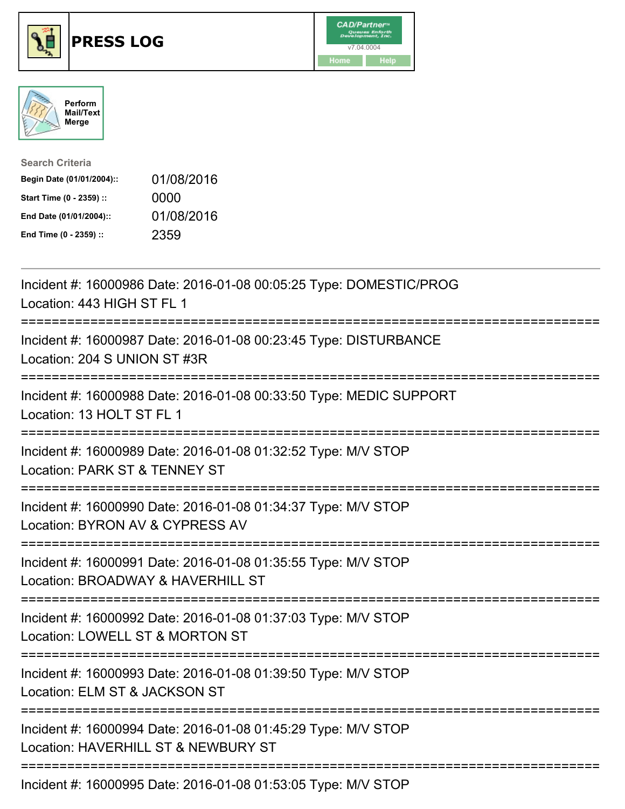





| <b>Search Criteria</b>    |            |
|---------------------------|------------|
| Begin Date (01/01/2004):: | 01/08/2016 |
| Start Time (0 - 2359) ::  | 0000       |
| End Date (01/01/2004)::   | 01/08/2016 |
| End Time (0 - 2359) ::    | 2359       |

| Incident #: 16000986 Date: 2016-01-08 00:05:25 Type: DOMESTIC/PROG<br>Location: 443 HIGH ST FL 1                                        |
|-----------------------------------------------------------------------------------------------------------------------------------------|
| Incident #: 16000987 Date: 2016-01-08 00:23:45 Type: DISTURBANCE<br>Location: 204 S UNION ST #3R                                        |
| Incident #: 16000988 Date: 2016-01-08 00:33:50 Type: MEDIC SUPPORT<br>Location: 13 HOLT ST FL 1                                         |
| Incident #: 16000989 Date: 2016-01-08 01:32:52 Type: M/V STOP<br>Location: PARK ST & TENNEY ST                                          |
| Incident #: 16000990 Date: 2016-01-08 01:34:37 Type: M/V STOP<br>Location: BYRON AV & CYPRESS AV<br>===========================         |
| Incident #: 16000991 Date: 2016-01-08 01:35:55 Type: M/V STOP<br>Location: BROADWAY & HAVERHILL ST                                      |
| ===================================<br>Incident #: 16000992 Date: 2016-01-08 01:37:03 Type: M/V STOP<br>Location: LOWELL ST & MORTON ST |
| Incident #: 16000993 Date: 2016-01-08 01:39:50 Type: M/V STOP<br>Location: ELM ST & JACKSON ST                                          |
| Incident #: 16000994 Date: 2016-01-08 01:45:29 Type: M/V STOP<br>Location: HAVERHILL ST & NEWBURY ST                                    |
| $I_{\text{no}}$ ident 4: 1000000E Dete: 2010.01.00.01:52:05 Tupe: MALCTOD                                                               |

Incident #: 16000995 Date: 2016-01-08 01:53:05 Type: M/V STOP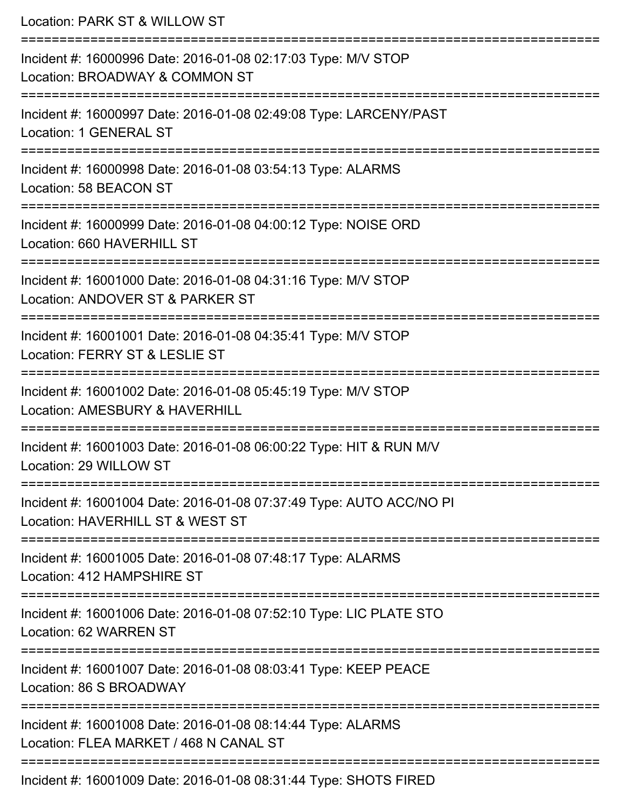Location: PARK ST & WILLOW ST =========================================================================== Incident #: 16000996 Date: 2016-01-08 02:17:03 Type: M/V STOP Location: BROADWAY & COMMON ST =========================================================================== Incident #: 16000997 Date: 2016-01-08 02:49:08 Type: LARCENY/PAST Location: 1 GENERAL ST =========================================================================== Incident #: 16000998 Date: 2016-01-08 03:54:13 Type: ALARMS Location: 58 BEACON ST =========================================================================== Incident #: 16000999 Date: 2016-01-08 04:00:12 Type: NOISE ORD Location: 660 HAVERHILL ST =========================================================================== Incident #: 16001000 Date: 2016-01-08 04:31:16 Type: M/V STOP Location: ANDOVER ST & PARKER ST =========================================================================== Incident #: 16001001 Date: 2016-01-08 04:35:41 Type: M/V STOP Location: FERRY ST & LESLIE ST =========================================================================== Incident #: 16001002 Date: 2016-01-08 05:45:19 Type: M/V STOP Location: AMESBURY & HAVERHILL =========================================================================== Incident #: 16001003 Date: 2016-01-08 06:00:22 Type: HIT & RUN M/V Location: 29 WILLOW ST =========================================================================== Incident #: 16001004 Date: 2016-01-08 07:37:49 Type: AUTO ACC/NO PI Location: HAVERHILL ST & WEST ST =========================================================================== Incident #: 16001005 Date: 2016-01-08 07:48:17 Type: ALARMS Location: 412 HAMPSHIRE ST =========================================================================== Incident #: 16001006 Date: 2016-01-08 07:52:10 Type: LIC PLATE STO Location: 62 WARREN ST =========================================================================== Incident #: 16001007 Date: 2016-01-08 08:03:41 Type: KEEP PEACE Location: 86 S BROADWAY =========================================================================== Incident #: 16001008 Date: 2016-01-08 08:14:44 Type: ALARMS Location: FLEA MARKET / 468 N CANAL ST ===========================================================================

Incident #: 16001009 Date: 2016-01-08 08:31:44 Type: SHOTS FIRED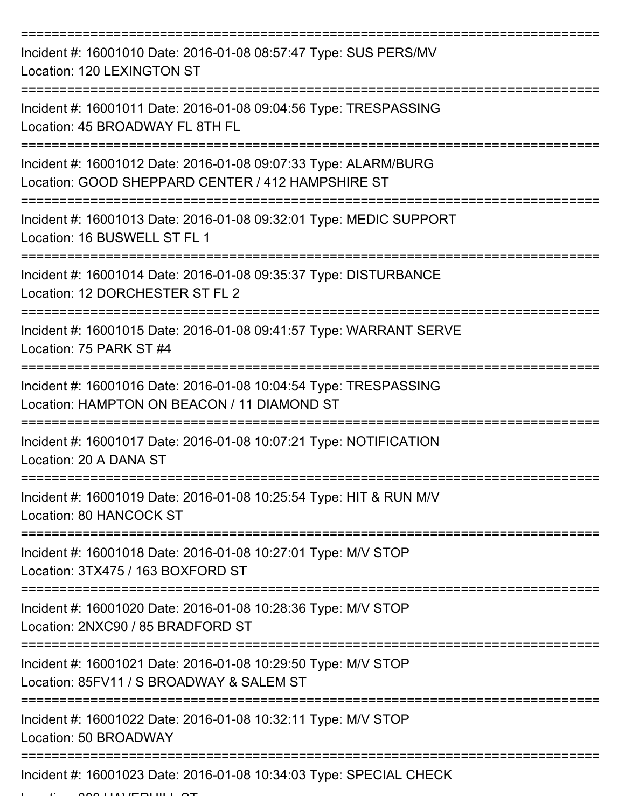| Incident #: 16001010 Date: 2016-01-08 08:57:47 Type: SUS PERS/MV<br>Location: 120 LEXINGTON ST                       |
|----------------------------------------------------------------------------------------------------------------------|
| Incident #: 16001011 Date: 2016-01-08 09:04:56 Type: TRESPASSING<br>Location: 45 BROADWAY FL 8TH FL                  |
| Incident #: 16001012 Date: 2016-01-08 09:07:33 Type: ALARM/BURG<br>Location: GOOD SHEPPARD CENTER / 412 HAMPSHIRE ST |
| Incident #: 16001013 Date: 2016-01-08 09:32:01 Type: MEDIC SUPPORT<br>Location: 16 BUSWELL ST FL 1                   |
| Incident #: 16001014 Date: 2016-01-08 09:35:37 Type: DISTURBANCE<br>Location: 12 DORCHESTER ST FL 2                  |
| Incident #: 16001015 Date: 2016-01-08 09:41:57 Type: WARRANT SERVE<br>Location: 75 PARK ST #4                        |
| Incident #: 16001016 Date: 2016-01-08 10:04:54 Type: TRESPASSING<br>Location: HAMPTON ON BEACON / 11 DIAMOND ST      |
| Incident #: 16001017 Date: 2016-01-08 10:07:21 Type: NOTIFICATION<br>Location: 20 A DANA ST                          |
| Incident #: 16001019 Date: 2016-01-08 10:25:54 Type: HIT & RUN M/V<br>Location: 80 HANCOCK ST                        |
| Incident #: 16001018 Date: 2016-01-08 10:27:01 Type: M/V STOP<br>Location: 3TX475 / 163 BOXFORD ST                   |
| Incident #: 16001020 Date: 2016-01-08 10:28:36 Type: M/V STOP<br>Location: 2NXC90 / 85 BRADFORD ST                   |
| Incident #: 16001021 Date: 2016-01-08 10:29:50 Type: M/V STOP<br>Location: 85FV11 / S BROADWAY & SALEM ST            |
| Incident #: 16001022 Date: 2016-01-08 10:32:11 Type: M/V STOP<br>Location: 50 BROADWAY                               |
| Incident #: 16001023 Date: 2016-01-08 10:34:03 Type: SPECIAL CHECK                                                   |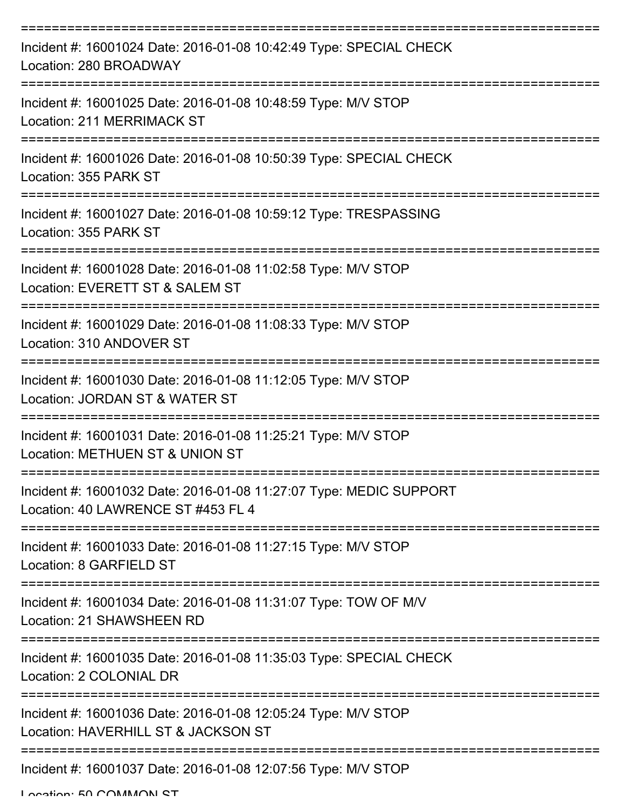| Incident #: 16001024 Date: 2016-01-08 10:42:49 Type: SPECIAL CHECK<br>Location: 280 BROADWAY             |
|----------------------------------------------------------------------------------------------------------|
| Incident #: 16001025 Date: 2016-01-08 10:48:59 Type: M/V STOP<br>Location: 211 MERRIMACK ST              |
| Incident #: 16001026 Date: 2016-01-08 10:50:39 Type: SPECIAL CHECK<br>Location: 355 PARK ST              |
| Incident #: 16001027 Date: 2016-01-08 10:59:12 Type: TRESPASSING<br>Location: 355 PARK ST                |
| Incident #: 16001028 Date: 2016-01-08 11:02:58 Type: M/V STOP<br>Location: EVERETT ST & SALEM ST         |
| Incident #: 16001029 Date: 2016-01-08 11:08:33 Type: M/V STOP<br>Location: 310 ANDOVER ST                |
| Incident #: 16001030 Date: 2016-01-08 11:12:05 Type: M/V STOP<br>Location: JORDAN ST & WATER ST          |
| Incident #: 16001031 Date: 2016-01-08 11:25:21 Type: M/V STOP<br>Location: METHUEN ST & UNION ST         |
| Incident #: 16001032 Date: 2016-01-08 11:27:07 Type: MEDIC SUPPORT<br>Location: 40 LAWRENCE ST #453 FL 4 |
| Incident #: 16001033 Date: 2016-01-08 11:27:15 Type: M/V STOP<br>Location: 8 GARFIELD ST                 |
| Incident #: 16001034 Date: 2016-01-08 11:31:07 Type: TOW OF M/V<br>Location: 21 SHAWSHEEN RD             |
| Incident #: 16001035 Date: 2016-01-08 11:35:03 Type: SPECIAL CHECK<br>Location: 2 COLONIAL DR            |
| Incident #: 16001036 Date: 2016-01-08 12:05:24 Type: M/V STOP<br>Location: HAVERHILL ST & JACKSON ST     |
| Incident #: 16001037 Date: 2016-01-08 12:07:56 Type: M/V STOP                                            |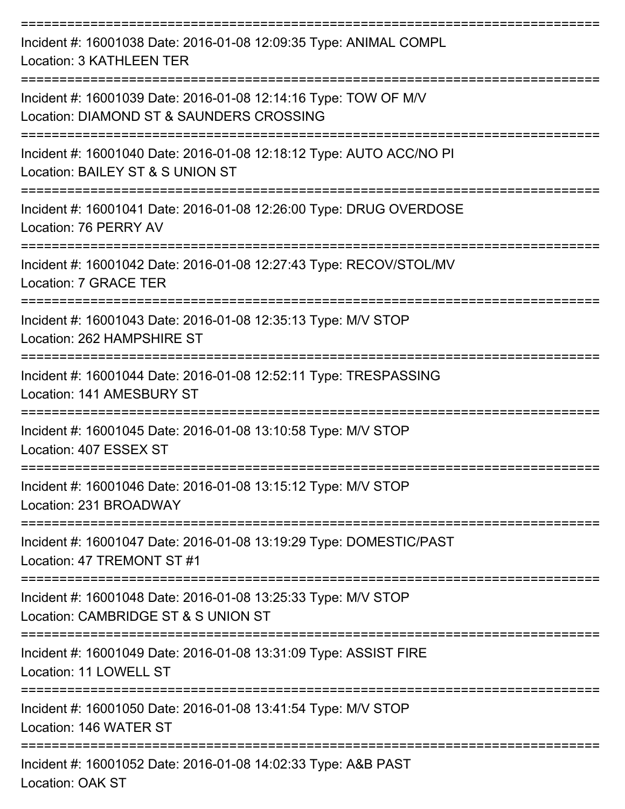| Incident #: 16001038 Date: 2016-01-08 12:09:35 Type: ANIMAL COMPL<br><b>Location: 3 KATHLEEN TER</b>                              |
|-----------------------------------------------------------------------------------------------------------------------------------|
| Incident #: 16001039 Date: 2016-01-08 12:14:16 Type: TOW OF M/V<br>Location: DIAMOND ST & SAUNDERS CROSSING<br>--------------     |
| Incident #: 16001040 Date: 2016-01-08 12:18:12 Type: AUTO ACC/NO PI<br>Location: BAILEY ST & S UNION ST                           |
| Incident #: 16001041 Date: 2016-01-08 12:26:00 Type: DRUG OVERDOSE<br>Location: 76 PERRY AV                                       |
| Incident #: 16001042 Date: 2016-01-08 12:27:43 Type: RECOV/STOL/MV<br>Location: 7 GRACE TER                                       |
| Incident #: 16001043 Date: 2016-01-08 12:35:13 Type: M/V STOP<br>Location: 262 HAMPSHIRE ST                                       |
| Incident #: 16001044 Date: 2016-01-08 12:52:11 Type: TRESPASSING<br>Location: 141 AMESBURY ST                                     |
| Incident #: 16001045 Date: 2016-01-08 13:10:58 Type: M/V STOP<br>Location: 407 ESSEX ST                                           |
| Incident #: 16001046 Date: 2016-01-08 13:15:12 Type: M/V STOP<br>Location: 231 BROADWAY                                           |
| Incident #: 16001047 Date: 2016-01-08 13:19:29 Type: DOMESTIC/PAST<br>Location: 47 TREMONT ST #1                                  |
| Incident #: 16001048 Date: 2016-01-08 13:25:33 Type: M/V STOP<br>Location: CAMBRIDGE ST & S UNION ST                              |
| ===================================<br>Incident #: 16001049 Date: 2016-01-08 13:31:09 Type: ASSIST FIRE<br>Location: 11 LOWELL ST |
| Incident #: 16001050 Date: 2016-01-08 13:41:54 Type: M/V STOP<br>Location: 146 WATER ST                                           |
| Incident #: 16001052 Date: 2016-01-08 14:02:33 Type: A&B PAST<br>Location: OAK ST                                                 |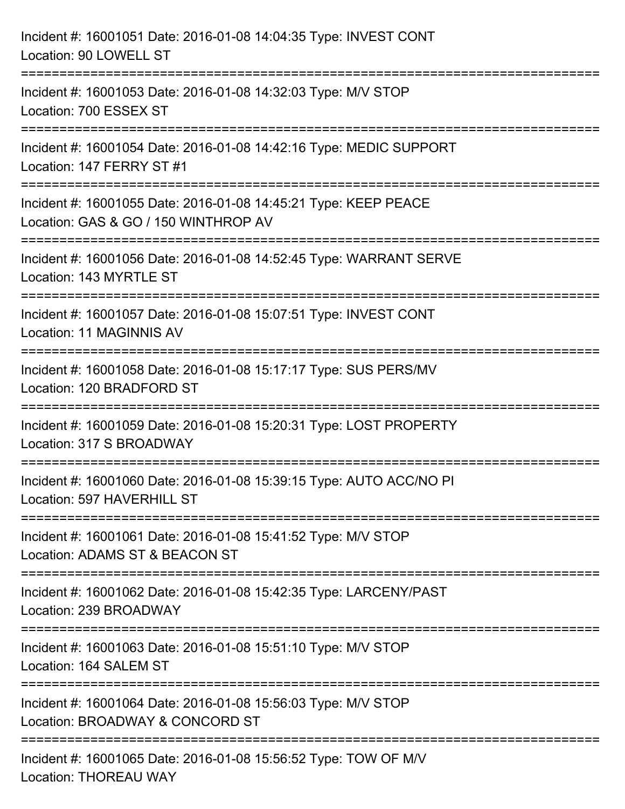| Incident #: 16001051 Date: 2016-01-08 14:04:35 Type: INVEST CONT<br>Location: 90 LOWELL ST                                   |
|------------------------------------------------------------------------------------------------------------------------------|
| =================================<br>Incident #: 16001053 Date: 2016-01-08 14:32:03 Type: M/V STOP<br>Location: 700 ESSEX ST |
| Incident #: 16001054 Date: 2016-01-08 14:42:16 Type: MEDIC SUPPORT<br>Location: 147 FERRY ST #1                              |
| Incident #: 16001055 Date: 2016-01-08 14:45:21 Type: KEEP PEACE<br>Location: GAS & GO / 150 WINTHROP AV                      |
| Incident #: 16001056 Date: 2016-01-08 14:52:45 Type: WARRANT SERVE<br>Location: 143 MYRTLE ST                                |
| Incident #: 16001057 Date: 2016-01-08 15:07:51 Type: INVEST CONT<br>Location: 11 MAGINNIS AV                                 |
| Incident #: 16001058 Date: 2016-01-08 15:17:17 Type: SUS PERS/MV<br>Location: 120 BRADFORD ST                                |
| Incident #: 16001059 Date: 2016-01-08 15:20:31 Type: LOST PROPERTY<br>Location: 317 S BROADWAY                               |
| Incident #: 16001060 Date: 2016-01-08 15:39:15 Type: AUTO ACC/NO PI<br>Location: 597 HAVERHILL ST                            |
| Incident #: 16001061 Date: 2016-01-08 15:41:52 Type: M/V STOP<br>Location: ADAMS ST & BEACON ST                              |
| Incident #: 16001062 Date: 2016-01-08 15:42:35 Type: LARCENY/PAST<br>Location: 239 BROADWAY                                  |
| Incident #: 16001063 Date: 2016-01-08 15:51:10 Type: M/V STOP<br>Location: 164 SALEM ST                                      |
| Incident #: 16001064 Date: 2016-01-08 15:56:03 Type: M/V STOP<br>Location: BROADWAY & CONCORD ST                             |
| Incident #: 16001065 Date: 2016-01-08 15:56:52 Type: TOW OF M/V<br><b>Location: THOREAU WAY</b>                              |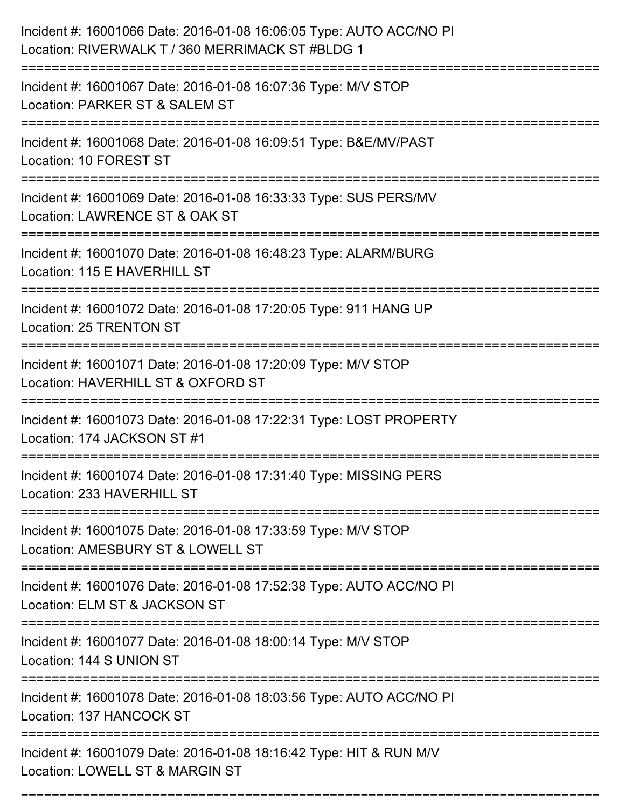| Incident #: 16001066 Date: 2016-01-08 16:06:05 Type: AUTO ACC/NO PI<br>Location: RIVERWALK T / 360 MERRIMACK ST #BLDG 1 |
|-------------------------------------------------------------------------------------------------------------------------|
| Incident #: 16001067 Date: 2016-01-08 16:07:36 Type: M/V STOP<br>Location: PARKER ST & SALEM ST                         |
| Incident #: 16001068 Date: 2016-01-08 16:09:51 Type: B&E/MV/PAST<br>Location: 10 FOREST ST                              |
| Incident #: 16001069 Date: 2016-01-08 16:33:33 Type: SUS PERS/MV<br>Location: LAWRENCE ST & OAK ST                      |
| Incident #: 16001070 Date: 2016-01-08 16:48:23 Type: ALARM/BURG<br>Location: 115 E HAVERHILL ST                         |
| Incident #: 16001072 Date: 2016-01-08 17:20:05 Type: 911 HANG UP<br>Location: 25 TRENTON ST                             |
| Incident #: 16001071 Date: 2016-01-08 17:20:09 Type: M/V STOP<br>Location: HAVERHILL ST & OXFORD ST                     |
| Incident #: 16001073 Date: 2016-01-08 17:22:31 Type: LOST PROPERTY<br>Location: 174 JACKSON ST #1                       |
| Incident #: 16001074 Date: 2016-01-08 17:31:40 Type: MISSING PERS<br>Location: 233 HAVERHILL ST                         |
| Incident #: 16001075 Date: 2016-01-08 17:33:59 Type: M/V STOP<br>Location: AMESBURY ST & LOWELL ST                      |
| Incident #: 16001076 Date: 2016-01-08 17:52:38 Type: AUTO ACC/NO PI<br>Location: ELM ST & JACKSON ST                    |
| Incident #: 16001077 Date: 2016-01-08 18:00:14 Type: M/V STOP<br>Location: 144 S UNION ST                               |
| Incident #: 16001078 Date: 2016-01-08 18:03:56 Type: AUTO ACC/NO PI<br>Location: 137 HANCOCK ST                         |
| Incident #: 16001079 Date: 2016-01-08 18:16:42 Type: HIT & RUN M/V<br>Location: LOWELL ST & MARGIN ST                   |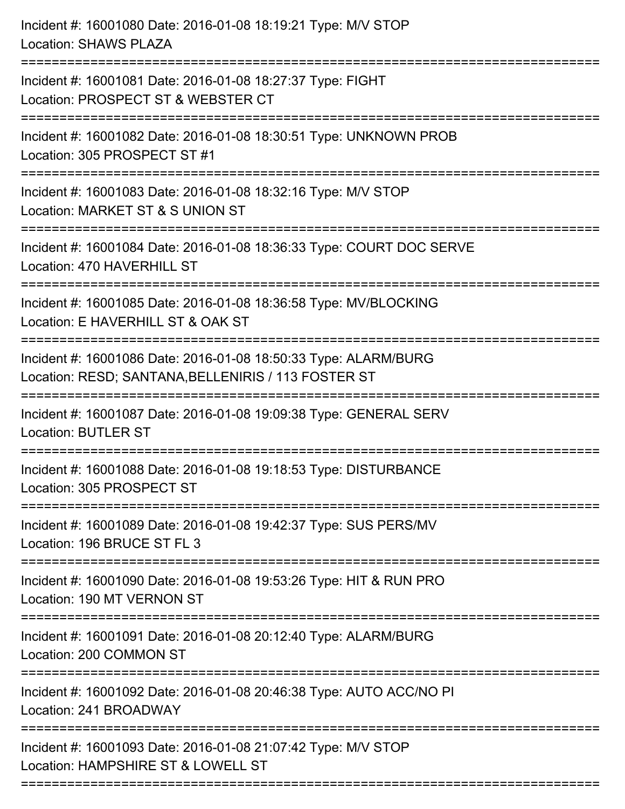| Incident #: 16001081 Date: 2016-01-08 18:27:37 Type: FIGHT<br>Location: PROSPECT ST & WEBSTER CT<br>Incident #: 16001082 Date: 2016-01-08 18:30:51 Type: UNKNOWN PROB<br>Location: 305 PROSPECT ST #1<br>Incident #: 16001083 Date: 2016-01-08 18:32:16 Type: M/V STOP<br>Location: MARKET ST & S UNION ST<br>Incident #: 16001084 Date: 2016-01-08 18:36:33 Type: COURT DOC SERVE<br>Location: 470 HAVERHILL ST<br>Incident #: 16001085 Date: 2016-01-08 18:36:58 Type: MV/BLOCKING<br>Location: E HAVERHILL ST & OAK ST |
|---------------------------------------------------------------------------------------------------------------------------------------------------------------------------------------------------------------------------------------------------------------------------------------------------------------------------------------------------------------------------------------------------------------------------------------------------------------------------------------------------------------------------|
|                                                                                                                                                                                                                                                                                                                                                                                                                                                                                                                           |
|                                                                                                                                                                                                                                                                                                                                                                                                                                                                                                                           |
|                                                                                                                                                                                                                                                                                                                                                                                                                                                                                                                           |
|                                                                                                                                                                                                                                                                                                                                                                                                                                                                                                                           |
|                                                                                                                                                                                                                                                                                                                                                                                                                                                                                                                           |
| Incident #: 16001086 Date: 2016-01-08 18:50:33 Type: ALARM/BURG<br>Location: RESD; SANTANA, BELLENIRIS / 113 FOSTER ST                                                                                                                                                                                                                                                                                                                                                                                                    |
| Incident #: 16001087 Date: 2016-01-08 19:09:38 Type: GENERAL SERV<br><b>Location: BUTLER ST</b>                                                                                                                                                                                                                                                                                                                                                                                                                           |
| Incident #: 16001088 Date: 2016-01-08 19:18:53 Type: DISTURBANCE<br>Location: 305 PROSPECT ST                                                                                                                                                                                                                                                                                                                                                                                                                             |
| ==============<br>Incident #: 16001089 Date: 2016-01-08 19:42:37 Type: SUS PERS/MV<br>Location: 196 BRUCE ST FL 3                                                                                                                                                                                                                                                                                                                                                                                                         |
| Incident #: 16001090 Date: 2016-01-08 19:53:26 Type: HIT & RUN PRO<br>Location: 190 MT VERNON ST                                                                                                                                                                                                                                                                                                                                                                                                                          |
| Incident #: 16001091 Date: 2016-01-08 20:12:40 Type: ALARM/BURG<br>Location: 200 COMMON ST                                                                                                                                                                                                                                                                                                                                                                                                                                |
| Incident #: 16001092 Date: 2016-01-08 20:46:38 Type: AUTO ACC/NO PI<br>Location: 241 BROADWAY                                                                                                                                                                                                                                                                                                                                                                                                                             |
| Incident #: 16001093 Date: 2016-01-08 21:07:42 Type: M/V STOP<br>Location: HAMPSHIRE ST & LOWELL ST                                                                                                                                                                                                                                                                                                                                                                                                                       |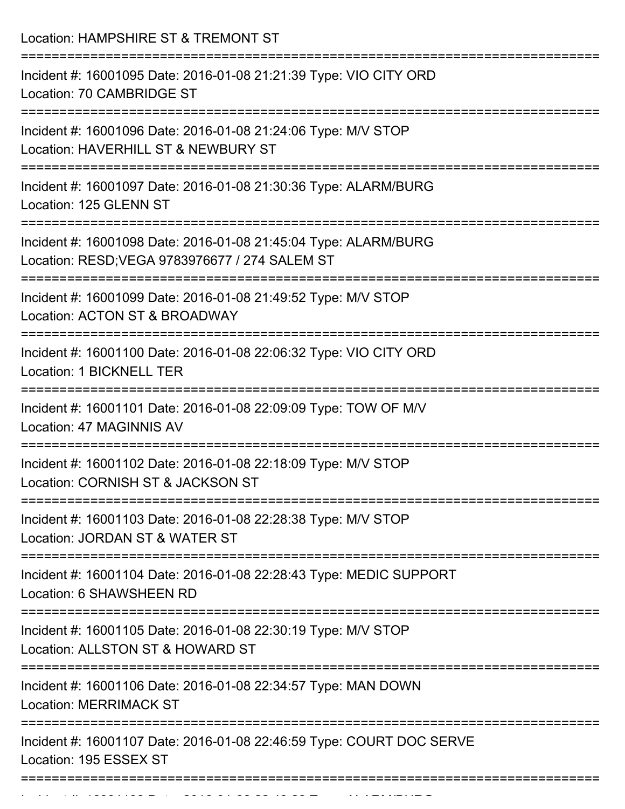| Location: HAMPSHIRE ST & TREMONT ST                                                                                                |
|------------------------------------------------------------------------------------------------------------------------------------|
| Incident #: 16001095 Date: 2016-01-08 21:21:39 Type: VIO CITY ORD<br>Location: 70 CAMBRIDGE ST<br>________________________________ |
| Incident #: 16001096 Date: 2016-01-08 21:24:06 Type: M/V STOP<br>Location: HAVERHILL ST & NEWBURY ST<br>====================       |
| Incident #: 16001097 Date: 2016-01-08 21:30:36 Type: ALARM/BURG<br>Location: 125 GLENN ST<br>===============================       |
| Incident #: 16001098 Date: 2016-01-08 21:45:04 Type: ALARM/BURG<br>Location: RESD; VEGA 9783976677 / 274 SALEM ST                  |
| Incident #: 16001099 Date: 2016-01-08 21:49:52 Type: M/V STOP<br>Location: ACTON ST & BROADWAY                                     |
| Incident #: 16001100 Date: 2016-01-08 22:06:32 Type: VIO CITY ORD<br>Location: 1 BICKNELL TER                                      |
| Incident #: 16001101 Date: 2016-01-08 22:09:09 Type: TOW OF M/V<br>Location: 47 MAGINNIS AV                                        |
| Incident #: 16001102 Date: 2016-01-08 22:18:09 Type: M/V STOP<br>Location: CORNISH ST & JACKSON ST                                 |
| Incident #: 16001103 Date: 2016-01-08 22:28:38 Type: M/V STOP<br>Location: JORDAN ST & WATER ST                                    |
| Incident #: 16001104 Date: 2016-01-08 22:28:43 Type: MEDIC SUPPORT<br>Location: 6 SHAWSHEEN RD                                     |
| Incident #: 16001105 Date: 2016-01-08 22:30:19 Type: M/V STOP<br>Location: ALLSTON ST & HOWARD ST                                  |
| Incident #: 16001106 Date: 2016-01-08 22:34:57 Type: MAN DOWN<br><b>Location: MERRIMACK ST</b>                                     |
| Incident #: 16001107 Date: 2016-01-08 22:46:59 Type: COURT DOC SERVE<br>Location: 195 ESSEX ST                                     |
|                                                                                                                                    |